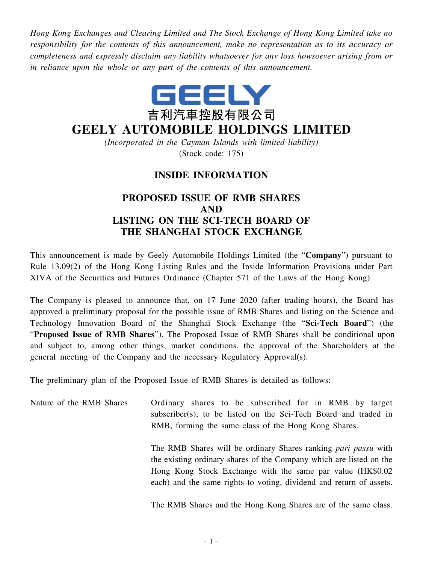*Hong Kong Exchanges and Clearing Limited and The Stock Exchange of Hong Kong Limited take no responsibility for the contents of this announcement, make no representation as to its accuracy or completeness and expressly disclaim any liability whatsoever for any loss howsoever arising from or in reliance upon the whole or any part of the contents of this announcement.*



# **GEELY AUTOMOBILE HOLDINGS LIMITED**

*(Incorporated in the Cayman Islands with limited liability)* (Stock code: 175)

## **INSIDE INFORMATION**

## **PROPOSED ISSUE OF RMB SHARES AND LISTING ON THE SCI-TECH BOARD OF THE SHANGHAI STOCK EXCHANGE**

This announcement is made by Geely Automobile Holdings Limited (the "**Company**") pursuant to Rule 13.09(2) of the Hong Kong Listing Rules and the Inside Information Provisions under Part XIVA of the Securities and Futures Ordinance (Chapter 571 of the Laws of the Hong Kong).

The Company is pleased to announce that, on 17 June 2020 (after trading hours), the Board has approved a preliminary proposal for the possible issue of RMB Shares and listing on the Science and Technology Innovation Board of the Shanghai Stock Exchange (the "**Sci-Tech Board**") (the "**Proposed Issue of RMB Shares**"). The Proposed Issue of RMB Shares shall be conditional upon and subject to, among other things, market conditions, the approval of the Shareholders at the general meeting of the Company and the necessary Regulatory Approval(s).

The preliminary plan of the Proposed Issue of RMB Shares is detailed as follows:

Nature of the RMB Shares Ordinary shares to be subscribed for in RMB by target subscriber(s), to be listed on the Sci-Tech Board and traded in RMB, forming the same class of the Hong Kong Shares. The RMB Shares will be ordinary Shares ranking *pari passu* with

the existing ordinary shares of the Company which are listed on the Hong Kong Stock Exchange with the same par value (HK\$0.02 each) and the same rights to voting, dividend and return of assets.

The RMB Shares and the Hong Kong Shares are of the same class.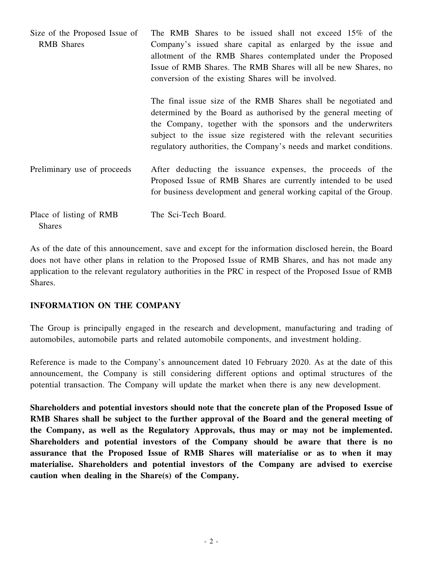| Size of the Proposed Issue of<br><b>RMB</b> Shares | The RMB Shares to be issued shall not exceed 15% of the<br>Company's issued share capital as enlarged by the issue and<br>allotment of the RMB Shares contemplated under the Proposed<br>Issue of RMB Shares. The RMB Shares will all be new Shares, no<br>conversion of the existing Shares will be involved.                               |
|----------------------------------------------------|----------------------------------------------------------------------------------------------------------------------------------------------------------------------------------------------------------------------------------------------------------------------------------------------------------------------------------------------|
|                                                    | The final issue size of the RMB Shares shall be negotiated and<br>determined by the Board as authorised by the general meeting of<br>the Company, together with the sponsors and the underwriters<br>subject to the issue size registered with the relevant securities<br>regulatory authorities, the Company's needs and market conditions. |
| Preliminary use of proceeds                        | After deducting the issuance expenses, the proceeds of the<br>Proposed Issue of RMB Shares are currently intended to be used<br>for business development and general working capital of the Group.                                                                                                                                           |
| Place of listing of RMB<br><b>Shares</b>           | The Sci-Tech Board.                                                                                                                                                                                                                                                                                                                          |

As of the date of this announcement, save and except for the information disclosed herein, the Board does not have other plans in relation to the Proposed Issue of RMB Shares, and has not made any application to the relevant regulatory authorities in the PRC in respect of the Proposed Issue of RMB Shares.

#### **INFORMATION ON THE COMPANY**

The Group is principally engaged in the research and development, manufacturing and trading of automobiles, automobile parts and related automobile components, and investment holding.

Reference is made to the Company's announcement dated 10 February 2020. As at the date of this announcement, the Company is still considering different options and optimal structures of the potential transaction. The Company will update the market when there is any new development.

**Shareholders and potential investors should note that the concrete plan of the Proposed Issue of RMB Shares shall be subject to the further approval of the Board and the general meeting of the Company, as well as the Regulatory Approvals, thus may or may not be implemented. Shareholders and potential investors of the Company should be aware that there is no assurance that the Proposed Issue of RMB Shares will materialise or as to when it may materialise. Shareholders and potential investors of the Company are advised to exercise caution when dealing in the Share(s) of the Company.**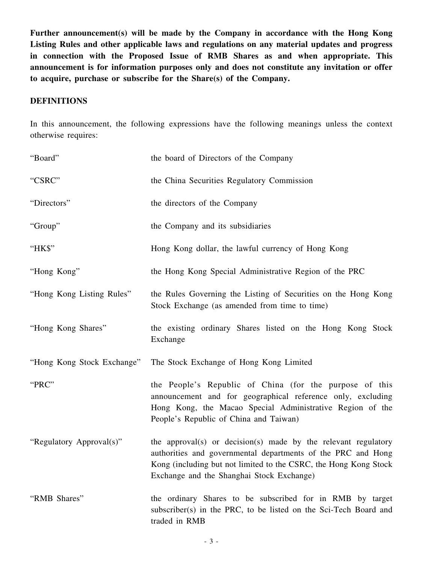**Further announcement(s) will be made by the Company in accordance with the Hong Kong Listing Rules and other applicable laws and regulations on any material updates and progress in connection with the Proposed Issue of RMB Shares as and when appropriate. This announcement is for information purposes only and does not constitute any invitation or offer to acquire, purchase or subscribe for the Share(s) of the Company.**

#### **DEFINITIONS**

In this announcement, the following expressions have the following meanings unless the context otherwise requires:

| "Board"                    | the board of Directors of the Company                                                                                                                                                                                                           |
|----------------------------|-------------------------------------------------------------------------------------------------------------------------------------------------------------------------------------------------------------------------------------------------|
| "CSRC"                     | the China Securities Regulatory Commission                                                                                                                                                                                                      |
| "Directors"                | the directors of the Company                                                                                                                                                                                                                    |
| "Group"                    | the Company and its subsidiaries                                                                                                                                                                                                                |
| "HK\$"                     | Hong Kong dollar, the lawful currency of Hong Kong                                                                                                                                                                                              |
| "Hong Kong"                | the Hong Kong Special Administrative Region of the PRC                                                                                                                                                                                          |
| "Hong Kong Listing Rules"  | the Rules Governing the Listing of Securities on the Hong Kong<br>Stock Exchange (as amended from time to time)                                                                                                                                 |
| "Hong Kong Shares"         | the existing ordinary Shares listed on the Hong Kong Stock<br>Exchange                                                                                                                                                                          |
| "Hong Kong Stock Exchange" | The Stock Exchange of Hong Kong Limited                                                                                                                                                                                                         |
| "PRC"                      | the People's Republic of China (for the purpose of this<br>announcement and for geographical reference only, excluding<br>Hong Kong, the Macao Special Administrative Region of the<br>People's Republic of China and Taiwan)                   |
| "Regulatory Approval(s)"   | the approval(s) or decision(s) made by the relevant regulatory<br>authorities and governmental departments of the PRC and Hong<br>Kong (including but not limited to the CSRC, the Hong Kong Stock<br>Exchange and the Shanghai Stock Exchange) |
| "RMB Shares"               | the ordinary Shares to be subscribed for in RMB by target<br>subscriber(s) in the PRC, to be listed on the Sci-Tech Board and<br>traded in RMB                                                                                                  |